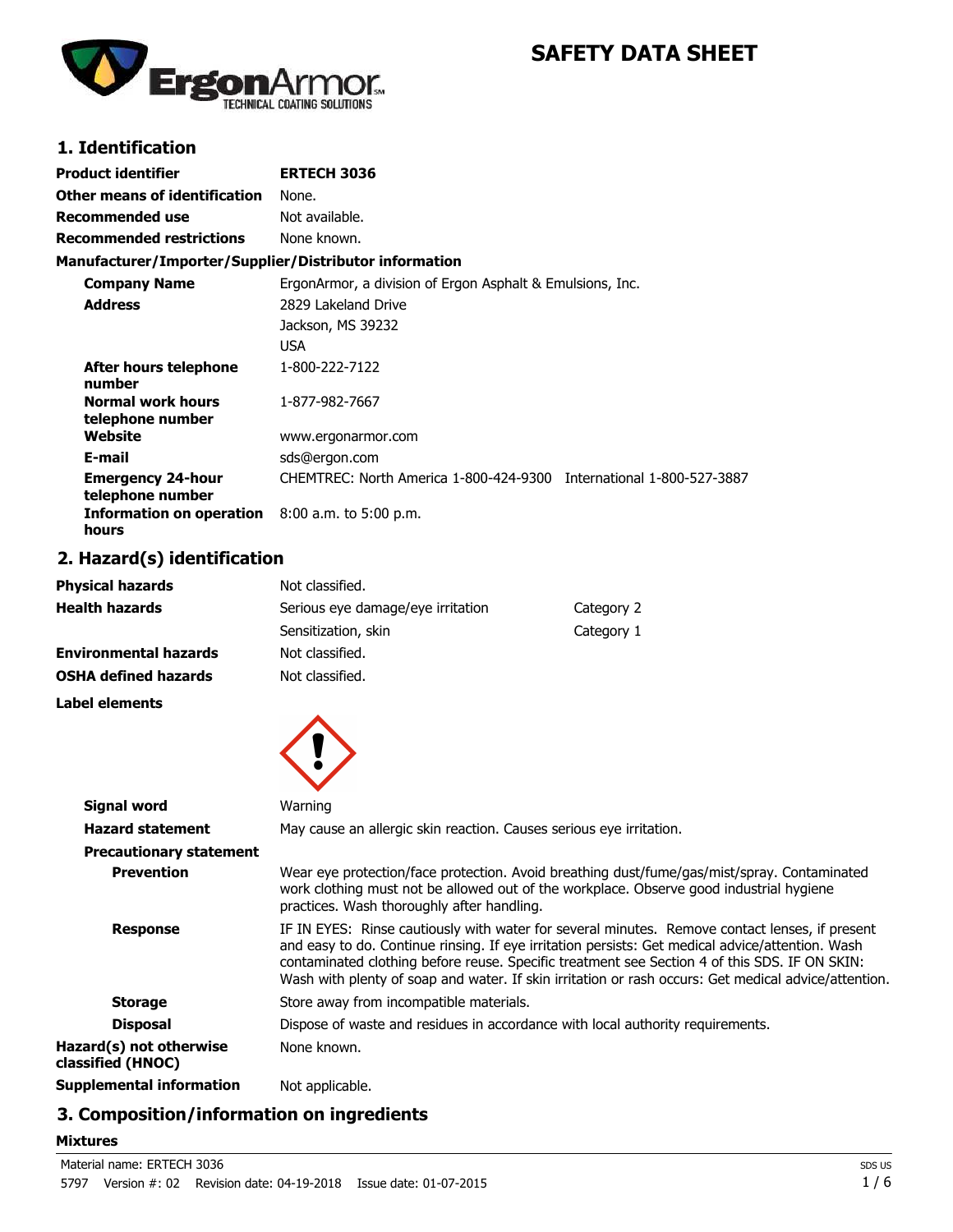

# **SAFETY DATA SHEET**

## **1. Identification**

| Product identifier                                     | <b>ERTECH 3036</b>                                                  |
|--------------------------------------------------------|---------------------------------------------------------------------|
| Other means of identification                          | None.                                                               |
| Recommended use                                        | Not available.                                                      |
| <b>Recommended restrictions</b>                        | None known.                                                         |
| Manufacturer/Importer/Supplier/Distributor information |                                                                     |
| <b>Company Name</b>                                    | ErgonArmor, a division of Ergon Asphalt & Emulsions, Inc.           |
| <b>Address</b>                                         | 2829 Lakeland Drive                                                 |
|                                                        | Jackson, MS 39232                                                   |
|                                                        | <b>USA</b>                                                          |
| After hours telephone<br>number                        | 1-800-222-7122                                                      |
| <b>Normal work hours</b><br>telephone number           | 1-877-982-7667                                                      |
| Website                                                | www.ergonarmor.com                                                  |
| E-mail                                                 | sds@ergon.com                                                       |
| <b>Emergency 24-hour</b><br>telephone number           | CHEMTREC: North America 1-800-424-9300 International 1-800-527-3887 |
| <b>Information on operation</b><br>hours               | $8:00$ a.m. to 5:00 p.m.                                            |

### **2. Hazard(s) identification**

| <b>Physical hazards</b>      | Not classified.                   |            |
|------------------------------|-----------------------------------|------------|
| <b>Health hazards</b>        | Serious eye damage/eye irritation | Category 2 |
|                              | Sensitization, skin               | Category 1 |
| <b>Environmental hazards</b> | Not classified.                   |            |
| <b>OSHA defined hazards</b>  | Not classified.                   |            |

**Label elements**



|                                              | $\sim$                                                                                                                                                                                                                                                                                                                                                                                                      |
|----------------------------------------------|-------------------------------------------------------------------------------------------------------------------------------------------------------------------------------------------------------------------------------------------------------------------------------------------------------------------------------------------------------------------------------------------------------------|
| <b>Signal word</b>                           | Warning                                                                                                                                                                                                                                                                                                                                                                                                     |
| <b>Hazard statement</b>                      | May cause an allergic skin reaction. Causes serious eye irritation.                                                                                                                                                                                                                                                                                                                                         |
| <b>Precautionary statement</b>               |                                                                                                                                                                                                                                                                                                                                                                                                             |
| <b>Prevention</b>                            | Wear eye protection/face protection. Avoid breathing dust/fume/gas/mist/spray. Contaminated<br>work clothing must not be allowed out of the workplace. Observe good industrial hygiene<br>practices. Wash thoroughly after handling.                                                                                                                                                                        |
| <b>Response</b>                              | IF IN EYES: Rinse cautiously with water for several minutes. Remove contact lenses, if present<br>and easy to do. Continue rinsing. If eye irritation persists: Get medical advice/attention. Wash<br>contaminated clothing before reuse. Specific treatment see Section 4 of this SDS. IF ON SKIN:<br>Wash with plenty of soap and water. If skin irritation or rash occurs: Get medical advice/attention. |
| <b>Storage</b>                               | Store away from incompatible materials.                                                                                                                                                                                                                                                                                                                                                                     |
| <b>Disposal</b>                              | Dispose of waste and residues in accordance with local authority requirements.                                                                                                                                                                                                                                                                                                                              |
| Hazard(s) not otherwise<br>classified (HNOC) | None known.                                                                                                                                                                                                                                                                                                                                                                                                 |
| <b>Supplemental information</b>              | Not applicable.                                                                                                                                                                                                                                                                                                                                                                                             |
|                                              |                                                                                                                                                                                                                                                                                                                                                                                                             |

### **3. Composition/information on ingredients**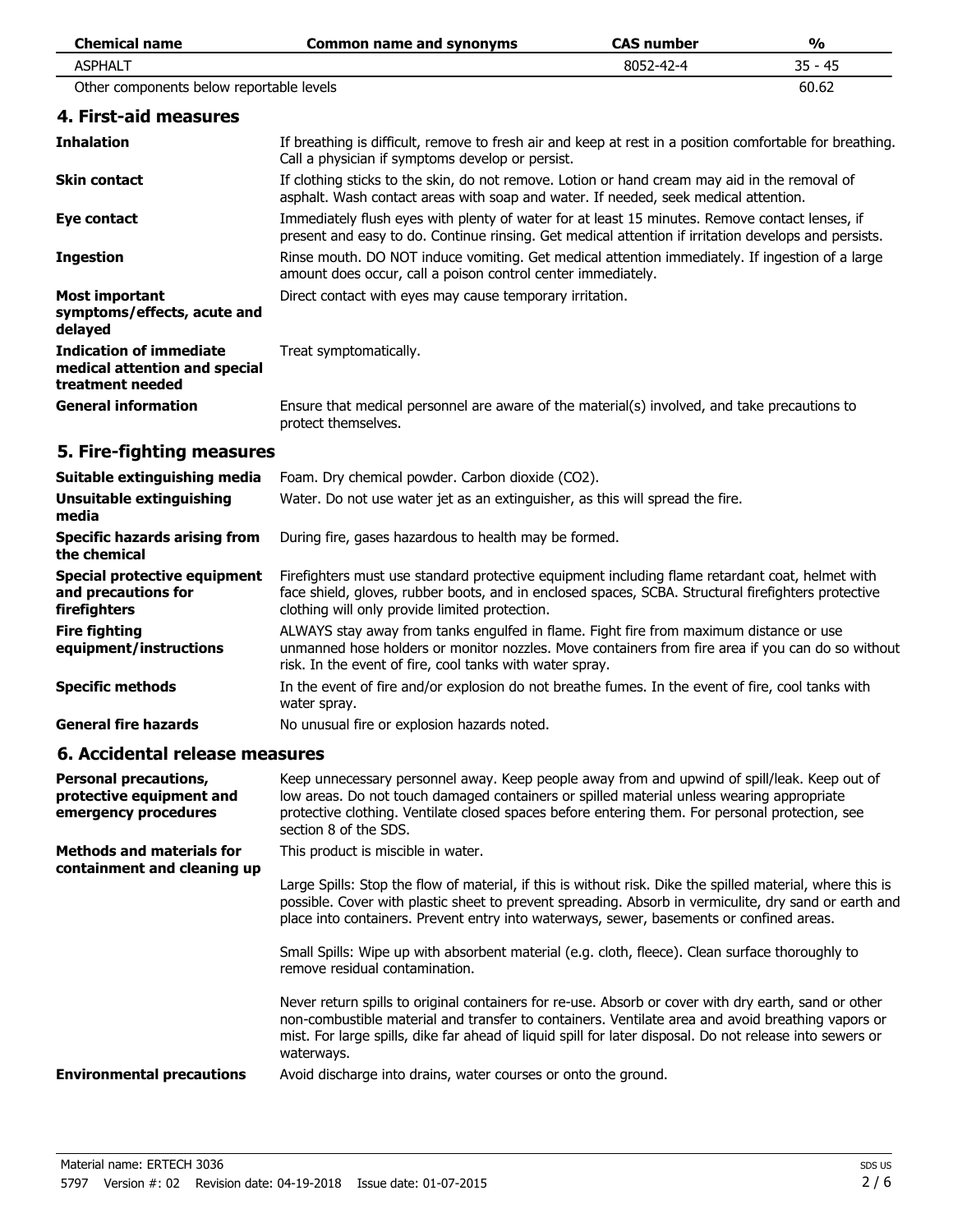| <b>Chemical name</b>                                                                | <b>Common name and synonyms</b>                                                                                                                                                                                                                                                                                                     | <b>CAS number</b> | $\frac{0}{0}$ |
|-------------------------------------------------------------------------------------|-------------------------------------------------------------------------------------------------------------------------------------------------------------------------------------------------------------------------------------------------------------------------------------------------------------------------------------|-------------------|---------------|
| <b>ASPHALT</b>                                                                      |                                                                                                                                                                                                                                                                                                                                     | 8052-42-4         | $35 - 45$     |
| Other components below reportable levels                                            |                                                                                                                                                                                                                                                                                                                                     |                   | 60.62         |
| 4. First-aid measures                                                               |                                                                                                                                                                                                                                                                                                                                     |                   |               |
| <b>Inhalation</b>                                                                   | If breathing is difficult, remove to fresh air and keep at rest in a position comfortable for breathing.<br>Call a physician if symptoms develop or persist.                                                                                                                                                                        |                   |               |
| <b>Skin contact</b>                                                                 | If clothing sticks to the skin, do not remove. Lotion or hand cream may aid in the removal of<br>asphalt. Wash contact areas with soap and water. If needed, seek medical attention.                                                                                                                                                |                   |               |
| <b>Eye contact</b>                                                                  | Immediately flush eyes with plenty of water for at least 15 minutes. Remove contact lenses, if<br>present and easy to do. Continue rinsing. Get medical attention if irritation develops and persists.                                                                                                                              |                   |               |
| <b>Ingestion</b>                                                                    | Rinse mouth. DO NOT induce vomiting. Get medical attention immediately. If ingestion of a large<br>amount does occur, call a poison control center immediately.                                                                                                                                                                     |                   |               |
| <b>Most important</b><br>symptoms/effects, acute and<br>delayed                     | Direct contact with eyes may cause temporary irritation.                                                                                                                                                                                                                                                                            |                   |               |
| <b>Indication of immediate</b><br>medical attention and special<br>treatment needed | Treat symptomatically.                                                                                                                                                                                                                                                                                                              |                   |               |
| <b>General information</b>                                                          | Ensure that medical personnel are aware of the material(s) involved, and take precautions to<br>protect themselves.                                                                                                                                                                                                                 |                   |               |
| 5. Fire-fighting measures                                                           |                                                                                                                                                                                                                                                                                                                                     |                   |               |
| Suitable extinguishing media                                                        | Foam. Dry chemical powder. Carbon dioxide (CO2).                                                                                                                                                                                                                                                                                    |                   |               |
| <b>Unsuitable extinguishing</b><br>media                                            | Water. Do not use water jet as an extinguisher, as this will spread the fire.                                                                                                                                                                                                                                                       |                   |               |
| <b>Specific hazards arising from</b><br>the chemical                                | During fire, gases hazardous to health may be formed.                                                                                                                                                                                                                                                                               |                   |               |
| <b>Special protective equipment</b><br>and precautions for<br>firefighters          | Firefighters must use standard protective equipment including flame retardant coat, helmet with<br>face shield, gloves, rubber boots, and in enclosed spaces, SCBA. Structural firefighters protective<br>clothing will only provide limited protection.                                                                            |                   |               |
| <b>Fire fighting</b><br>equipment/instructions                                      | ALWAYS stay away from tanks engulfed in flame. Fight fire from maximum distance or use<br>unmanned hose holders or monitor nozzles. Move containers from fire area if you can do so without<br>risk. In the event of fire, cool tanks with water spray.                                                                             |                   |               |
| <b>Specific methods</b>                                                             | In the event of fire and/or explosion do not breathe fumes. In the event of fire, cool tanks with<br>water spray.                                                                                                                                                                                                                   |                   |               |
| <b>General fire hazards</b>                                                         | No unusual fire or explosion hazards noted.                                                                                                                                                                                                                                                                                         |                   |               |
| 6. Accidental release measures                                                      |                                                                                                                                                                                                                                                                                                                                     |                   |               |
| <b>Personal precautions,</b><br>protective equipment and<br>emergency procedures    | Keep unnecessary personnel away. Keep people away from and upwind of spill/leak. Keep out of<br>low areas. Do not touch damaged containers or spilled material unless wearing appropriate<br>protective clothing. Ventilate closed spaces before entering them. For personal protection, see<br>section 8 of the SDS.               |                   |               |
| <b>Methods and materials for</b>                                                    | This product is miscible in water.                                                                                                                                                                                                                                                                                                  |                   |               |
| containment and cleaning up                                                         | Large Spills: Stop the flow of material, if this is without risk. Dike the spilled material, where this is<br>possible. Cover with plastic sheet to prevent spreading. Absorb in vermiculite, dry sand or earth and<br>place into containers. Prevent entry into waterways, sewer, basements or confined areas.                     |                   |               |
|                                                                                     | Small Spills: Wipe up with absorbent material (e.g. cloth, fleece). Clean surface thoroughly to<br>remove residual contamination.                                                                                                                                                                                                   |                   |               |
|                                                                                     | Never return spills to original containers for re-use. Absorb or cover with dry earth, sand or other<br>non-combustible material and transfer to containers. Ventilate area and avoid breathing vapors or<br>mist. For large spills, dike far ahead of liquid spill for later disposal. Do not release into sewers or<br>waterways. |                   |               |
| <b>Environmental precautions</b>                                                    | Avoid discharge into drains, water courses or onto the ground.                                                                                                                                                                                                                                                                      |                   |               |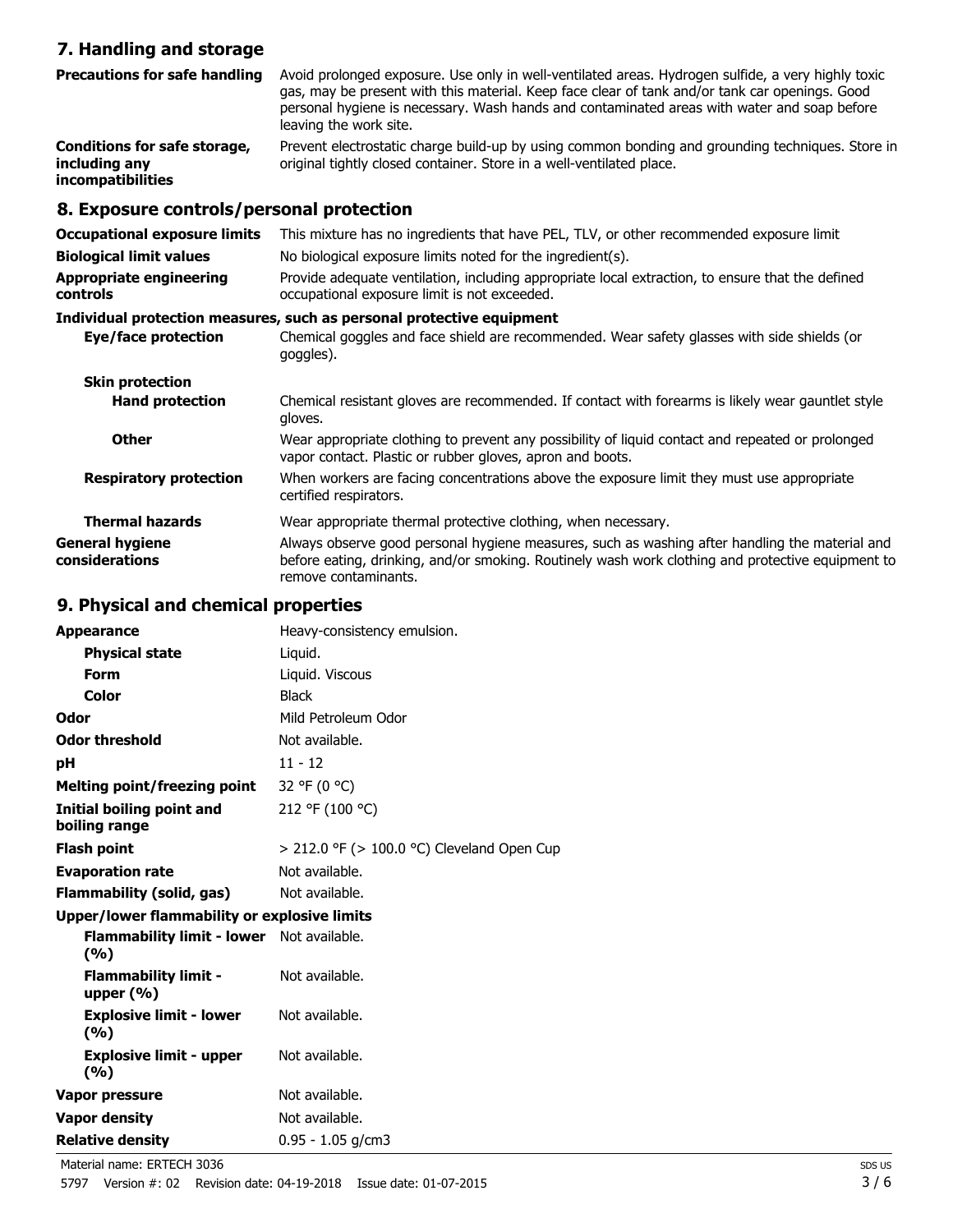### **7. Handling and storage**

| <b>Precautions for safe handling</b>                                      | Avoid prolonged exposure. Use only in well-ventilated areas. Hydrogen sulfide, a very highly toxic<br>gas, may be present with this material. Keep face clear of tank and/or tank car openings. Good<br>personal hygiene is necessary. Wash hands and contaminated areas with water and soap before<br>leaving the work site. |
|---------------------------------------------------------------------------|-------------------------------------------------------------------------------------------------------------------------------------------------------------------------------------------------------------------------------------------------------------------------------------------------------------------------------|
| Conditions for safe storage,<br>including any<br><i>incompatibilities</i> | Prevent electrostatic charge build-up by using common bonding and grounding techniques. Store in<br>original tightly closed container. Store in a well-ventilated place.                                                                                                                                                      |

## **8. Exposure controls/personal protection**

| <b>Occupational exposure limits</b><br><b>Biological limit values</b><br><b>Appropriate engineering</b><br><b>controls</b> | This mixture has no ingredients that have PEL, TLV, or other recommended exposure limit<br>No biological exposure limits noted for the ingredient(s).<br>Provide adequate ventilation, including appropriate local extraction, to ensure that the defined<br>occupational exposure limit is not exceeded. |
|----------------------------------------------------------------------------------------------------------------------------|-----------------------------------------------------------------------------------------------------------------------------------------------------------------------------------------------------------------------------------------------------------------------------------------------------------|
|                                                                                                                            | Individual protection measures, such as personal protective equipment                                                                                                                                                                                                                                     |
| Eye/face protection                                                                                                        | Chemical goggles and face shield are recommended. Wear safety glasses with side shields (or<br>goggles).                                                                                                                                                                                                  |
| <b>Skin protection</b>                                                                                                     |                                                                                                                                                                                                                                                                                                           |
| <b>Hand protection</b>                                                                                                     | Chemical resistant gloves are recommended. If contact with forearms is likely wear gauntlet style<br>gloves.                                                                                                                                                                                              |
| <b>Other</b>                                                                                                               | Wear appropriate clothing to prevent any possibility of liquid contact and repeated or prolonged<br>vapor contact. Plastic or rubber gloves, apron and boots.                                                                                                                                             |
| <b>Respiratory protection</b>                                                                                              | When workers are facing concentrations above the exposure limit they must use appropriate<br>certified respirators.                                                                                                                                                                                       |
| <b>Thermal hazards</b>                                                                                                     | Wear appropriate thermal protective clothing, when necessary.                                                                                                                                                                                                                                             |
| <b>General hygiene</b><br>considerations                                                                                   | Always observe good personal hygiene measures, such as washing after handling the material and<br>before eating, drinking, and/or smoking. Routinely wash work clothing and protective equipment to<br>remove contaminants.                                                                               |

### **9. Physical and chemical properties**

| <b>Appearance</b>                                       | Heavy-consistency emulsion.                     |
|---------------------------------------------------------|-------------------------------------------------|
| <b>Physical state</b>                                   | Liquid.                                         |
| Form                                                    | Liquid. Viscous                                 |
| Color                                                   | <b>Black</b>                                    |
| Odor                                                    | Mild Petroleum Odor                             |
| <b>Odor threshold</b>                                   | Not available.                                  |
| рH                                                      | $11 - 12$                                       |
| Melting point/freezing point                            | 32 °F (0 °C)                                    |
| Initial boiling point and<br>boiling range              | 212 °F (100 °C)                                 |
| <b>Flash point</b>                                      | $>$ 212.0 °F ( $>$ 100.0 °C) Cleveland Open Cup |
| <b>Evaporation rate</b>                                 | Not available.                                  |
| <b>Flammability (solid, gas)</b>                        | Not available.                                  |
| Upper/lower flammability or explosive limits            |                                                 |
| <b>Flammability limit - lower</b> Not available.<br>(%) |                                                 |
| <b>Flammability limit -</b><br>upper $(\% )$            | Not available.                                  |
| <b>Explosive limit - lower</b><br>(%)                   | Not available.                                  |
| <b>Explosive limit - upper</b><br>(%)                   | Not available.                                  |
| Vapor pressure                                          | Not available.                                  |
| <b>Vapor density</b>                                    | Not available.                                  |
| <b>Relative density</b>                                 | $0.95 - 1.05$ g/cm3                             |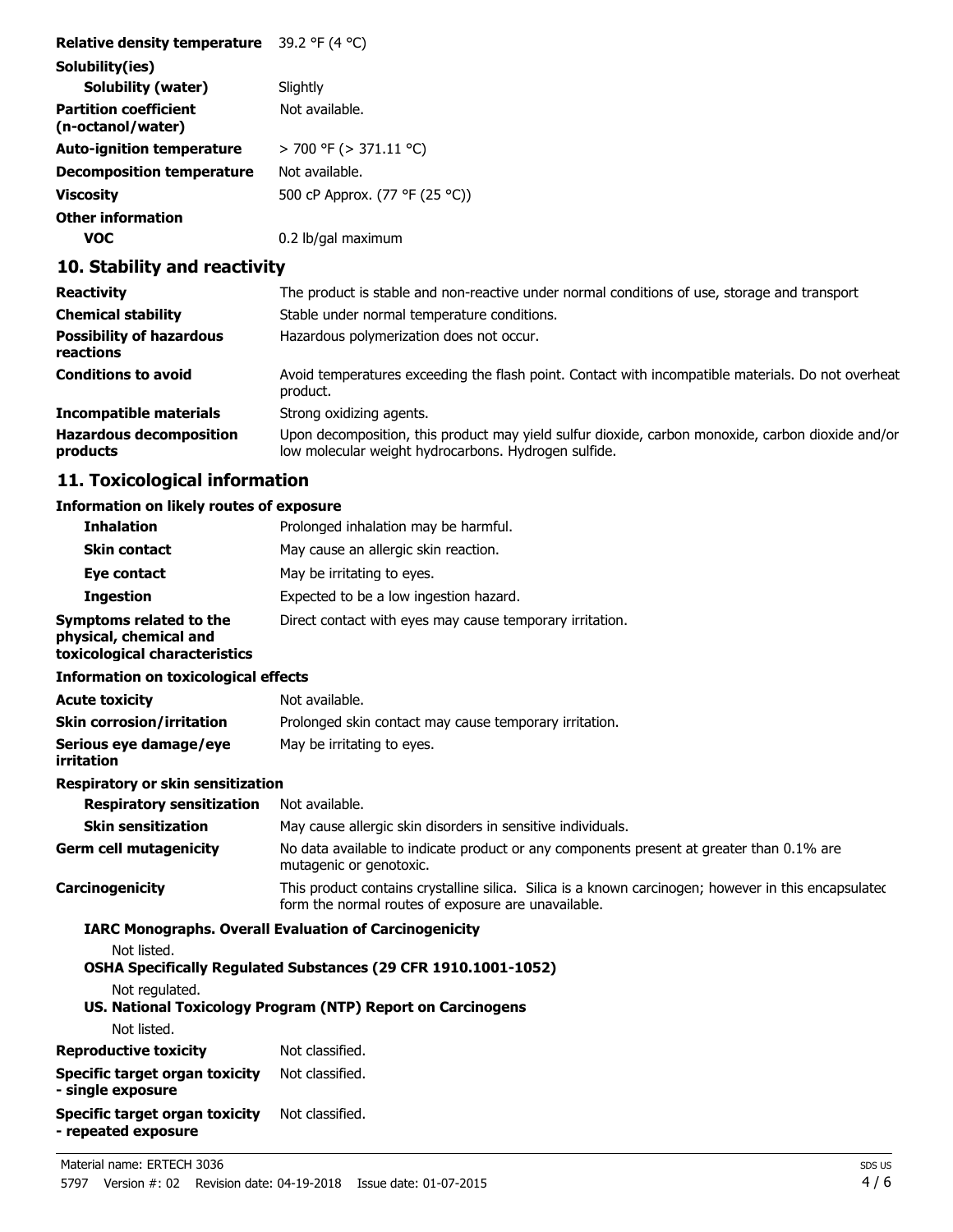| Relative density temperature                      | 39.2 °F (4 °C)                 |
|---------------------------------------------------|--------------------------------|
| Solubility(ies)                                   |                                |
| Solubility (water)                                | Slightly                       |
| <b>Partition coefficient</b><br>(n-octanol/water) | Not available.                 |
| <b>Auto-ignition temperature</b>                  | > 700 °F (> 371.11 °C)         |
| Decomposition temperature                         | Not available.                 |
| <b>Viscosity</b>                                  | 500 cP Approx. (77 °F (25 °C)) |
| <b>Other information</b>                          |                                |
| VOC                                               | 0.2 lb/gal maximum             |

## **10. Stability and reactivity**

| <b>Reactivity</b>                            | The product is stable and non-reactive under normal conditions of use, storage and transport                                                              |
|----------------------------------------------|-----------------------------------------------------------------------------------------------------------------------------------------------------------|
| <b>Chemical stability</b>                    | Stable under normal temperature conditions.                                                                                                               |
| <b>Possibility of hazardous</b><br>reactions | Hazardous polymerization does not occur.                                                                                                                  |
| <b>Conditions to avoid</b>                   | Avoid temperatures exceeding the flash point. Contact with incompatible materials. Do not overheat<br>product.                                            |
| <b>Incompatible materials</b>                | Strong oxidizing agents.                                                                                                                                  |
| <b>Hazardous decomposition</b><br>products   | Upon decomposition, this product may yield sulfur dioxide, carbon monoxide, carbon dioxide and/or<br>low molecular weight hydrocarbons. Hydrogen sulfide. |

## **11. Toxicological information**

#### **Information on likely routes of exposure**

| <b>Inhalation</b>                                                                  | Prolonged inhalation may be harmful.                                                                                                                        |
|------------------------------------------------------------------------------------|-------------------------------------------------------------------------------------------------------------------------------------------------------------|
| <b>Skin contact</b>                                                                | May cause an allergic skin reaction.                                                                                                                        |
| Eye contact                                                                        | May be irritating to eyes.                                                                                                                                  |
| <b>Ingestion</b>                                                                   | Expected to be a low ingestion hazard.                                                                                                                      |
| Symptoms related to the<br>physical, chemical and<br>toxicological characteristics | Direct contact with eyes may cause temporary irritation.                                                                                                    |
| <b>Information on toxicological effects</b>                                        |                                                                                                                                                             |
| <b>Acute toxicity</b>                                                              | Not available.                                                                                                                                              |
| <b>Skin corrosion/irritation</b>                                                   | Prolonged skin contact may cause temporary irritation.                                                                                                      |
| Serious eye damage/eye<br>irritation                                               | May be irritating to eyes.                                                                                                                                  |
| <b>Respiratory or skin sensitization</b>                                           |                                                                                                                                                             |
| <b>Respiratory sensitization</b>                                                   | Not available.                                                                                                                                              |
| <b>Skin sensitization</b>                                                          | May cause allergic skin disorders in sensitive individuals.                                                                                                 |
| <b>Germ cell mutagenicity</b>                                                      | No data available to indicate product or any components present at greater than 0.1% are<br>mutagenic or genotoxic.                                         |
| Carcinogenicity                                                                    | This product contains crystalline silica. Silica is a known carcinogen; however in this encapsulated<br>form the normal routes of exposure are unavailable. |
|                                                                                    | <b>IARC Monographs. Overall Evaluation of Carcinogenicity</b>                                                                                               |
| Not listed.                                                                        | OSHA Specifically Regulated Substances (29 CFR 1910.1001-1052)                                                                                              |
| Not regulated.                                                                     | US. National Toxicology Program (NTP) Report on Carcinogens                                                                                                 |
| Not listed.                                                                        |                                                                                                                                                             |
| <b>Reproductive toxicity</b>                                                       | Not classified.                                                                                                                                             |
| <b>Specific target organ toxicity</b><br>- single exposure                         | Not classified.                                                                                                                                             |
| <b>Specific target organ toxicity</b><br>- repeated exposure                       | Not classified.                                                                                                                                             |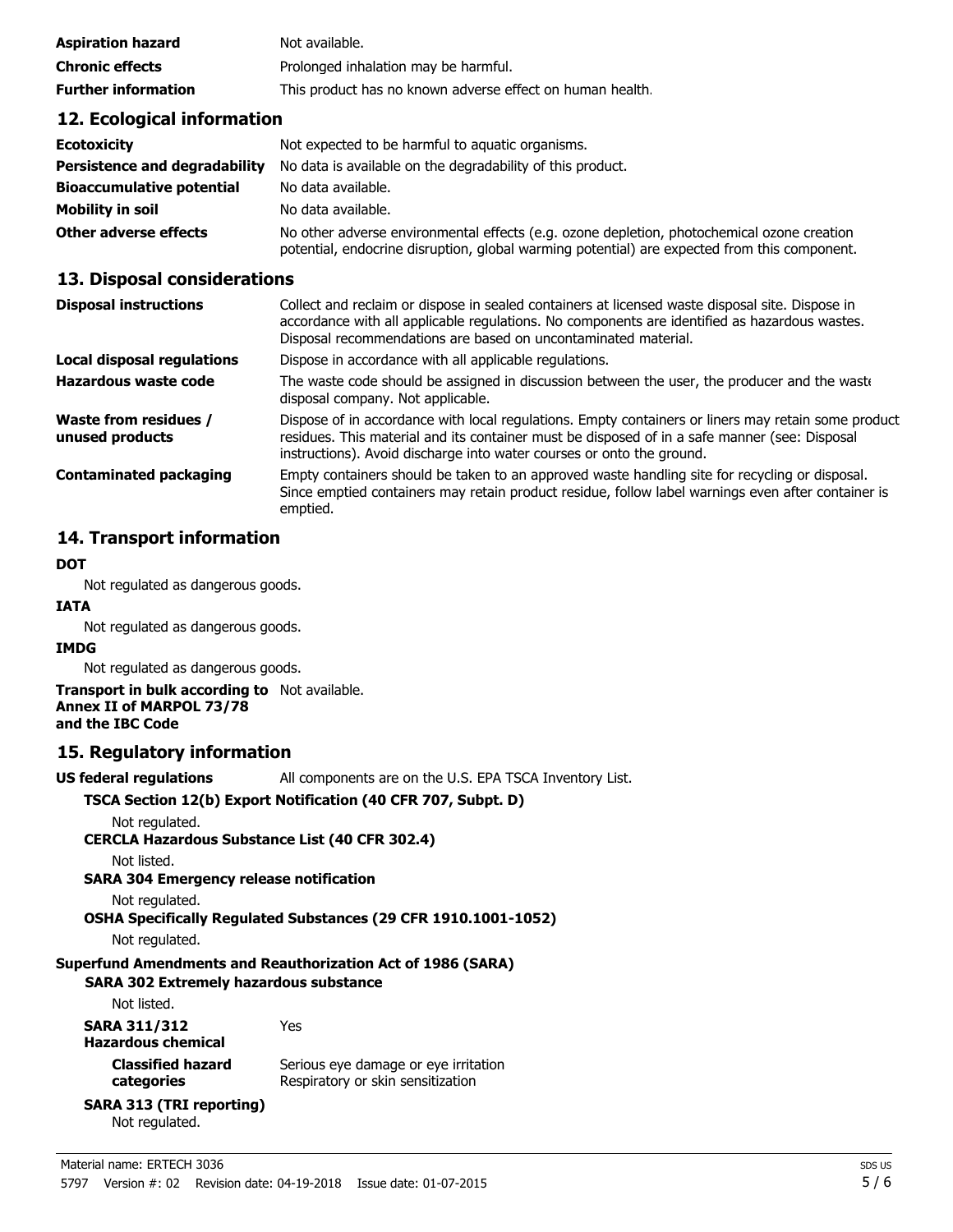| Aspiration hazard          | Not available.                                            |
|----------------------------|-----------------------------------------------------------|
| <b>Chronic effects</b>     | Prolonged inhalation may be harmful.                      |
| <b>Further information</b> | This product has no known adverse effect on human health. |

#### **12. Ecological information**

| <b>Ecotoxicity</b>                   | Not expected to be harmful to aquatic organisms.                                                                                                                                           |
|--------------------------------------|--------------------------------------------------------------------------------------------------------------------------------------------------------------------------------------------|
| <b>Persistence and degradability</b> | No data is available on the degradability of this product.                                                                                                                                 |
| <b>Bioaccumulative potential</b>     | No data available.                                                                                                                                                                         |
| Mobility in soil                     | No data available.                                                                                                                                                                         |
| Other adverse effects                | No other adverse environmental effects (e.g. ozone depletion, photochemical ozone creation<br>potential, endocrine disruption, global warming potential) are expected from this component. |

#### **13. Disposal considerations**

| Collect and reclaim or dispose in sealed containers at licensed waste disposal site. Dispose in<br>accordance with all applicable regulations. No components are identified as hazardous wastes.<br>Disposal recommendations are based on uncontaminated material.            |
|-------------------------------------------------------------------------------------------------------------------------------------------------------------------------------------------------------------------------------------------------------------------------------|
| Dispose in accordance with all applicable regulations.                                                                                                                                                                                                                        |
| The waste code should be assigned in discussion between the user, the producer and the waste<br>disposal company. Not applicable.                                                                                                                                             |
| Dispose of in accordance with local regulations. Empty containers or liners may retain some product<br>residues. This material and its container must be disposed of in a safe manner (see: Disposal<br>instructions). Avoid discharge into water courses or onto the ground. |
| Empty containers should be taken to an approved waste handling site for recycling or disposal.<br>Since emptied containers may retain product residue, follow label warnings even after container is<br>emptied.                                                              |
|                                                                                                                                                                                                                                                                               |

#### **14. Transport information**

#### **DOT**

Not regulated as dangerous goods.

# **IATA**

Not regulated as dangerous goods.

#### **IMDG**

Not regulated as dangerous goods.

#### **Transport in bulk according to** Not available. **Annex II of MARPOL 73/78 and the IBC Code**

#### **15. Regulatory information**

**US federal regulations** All components are on the U.S. EPA TSCA Inventory List.

#### **TSCA Section 12(b) Export Notification (40 CFR 707, Subpt. D)**

Not regulated.

**CERCLA Hazardous Substance List (40 CFR 302.4)**

Not listed.

**SARA 304 Emergency release notification**

Not regulated.

**OSHA Specifically Regulated Substances (29 CFR 1910.1001-1052)**

Not regulated.

#### **Superfund Amendments and Reauthorization Act of 1986 (SARA)**

#### **SARA 302 Extremely hazardous substance**

Not listed.

**SARA 311/312** Yes

**Hazardous chemical Classified hazard categories**

Serious eye damage or eye irritation Respiratory or skin sensitization

#### **SARA 313 (TRI reporting)** Not regulated.